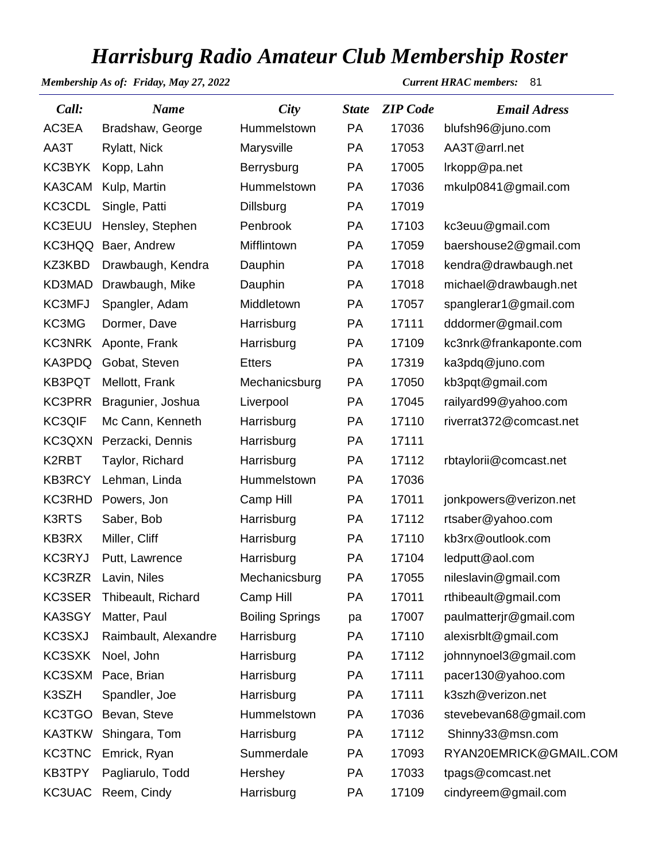## *Harrisburg Radio Amateur Club Membership Roster*

*Membership As of: Friday, May 27, 2022 Current HRAC members:* 81

| Call:         | <b>Name</b>          | <b>City</b>            | <b>State</b> | <b>ZIP</b> Code | <b>Email Adress</b>     |  |
|---------------|----------------------|------------------------|--------------|-----------------|-------------------------|--|
| AC3EA         | Bradshaw, George     | Hummelstown            | <b>PA</b>    | 17036           | blufsh96@juno.com       |  |
| AA3T          | Rylatt, Nick         | Marysville             | <b>PA</b>    | 17053           | AA3T@arrl.net           |  |
| KC3BYK        | Kopp, Lahn           | Berrysburg             | <b>PA</b>    | 17005           | Irkopp@pa.net           |  |
| KA3CAM        | Kulp, Martin         | Hummelstown            | <b>PA</b>    | 17036           | mkulp0841@gmail.com     |  |
| KC3CDL        | Single, Patti        | Dillsburg              | <b>PA</b>    | 17019           |                         |  |
| KC3EUU        | Hensley, Stephen     | Penbrook               | <b>PA</b>    | 17103           | kc3euu@gmail.com        |  |
|               | KC3HQQ Baer, Andrew  | Mifflintown            | <b>PA</b>    | 17059           | baershouse2@gmail.com   |  |
| KZ3KBD        | Drawbaugh, Kendra    | Dauphin                | <b>PA</b>    | 17018           | kendra@drawbaugh.net    |  |
| KD3MAD        | Drawbaugh, Mike      | Dauphin                | <b>PA</b>    | 17018           | michael@drawbaugh.net   |  |
| KC3MFJ        | Spangler, Adam       | Middletown             | <b>PA</b>    | 17057           | spanglerar1@gmail.com   |  |
| KC3MG         | Dormer, Dave         | Harrisburg             | <b>PA</b>    | 17111           | dddormer@gmail.com      |  |
| KC3NRK        | Aponte, Frank        | Harrisburg             | <b>PA</b>    | 17109           | kc3nrk@frankaponte.com  |  |
| KA3PDQ        | Gobat, Steven        | <b>Etters</b>          | <b>PA</b>    | 17319           | ka3pdq@juno.com         |  |
| KB3PQT        | Mellott, Frank       | Mechanicsburg          | <b>PA</b>    | 17050           | kb3pqt@gmail.com        |  |
| KC3PRR        | Bragunier, Joshua    | Liverpool              | PA           | 17045           | railyard99@yahoo.com    |  |
| <b>KC3QIF</b> | Mc Cann, Kenneth     | Harrisburg             | <b>PA</b>    | 17110           | riverrat372@comcast.net |  |
| KC3QXN        | Perzacki, Dennis     | Harrisburg             | <b>PA</b>    | 17111           |                         |  |
| K2RBT         | Taylor, Richard      | Harrisburg             | <b>PA</b>    | 17112           | rbtaylorii@comcast.net  |  |
| <b>KB3RCY</b> | Lehman, Linda        | Hummelstown            | <b>PA</b>    | 17036           |                         |  |
| KC3RHD        | Powers, Jon          | Camp Hill              | PA           | 17011           | jonkpowers@verizon.net  |  |
| <b>K3RTS</b>  | Saber, Bob           | Harrisburg             | <b>PA</b>    | 17112           | rtsaber@yahoo.com       |  |
| KB3RX         | Miller, Cliff        | Harrisburg             | <b>PA</b>    | 17110           | kb3rx@outlook.com       |  |
| <b>KC3RYJ</b> | Putt, Lawrence       | Harrisburg             | <b>PA</b>    | 17104           | ledputt@aol.com         |  |
|               | KC3RZR Lavin, Niles  | Mechanicsburg          | PA           | 17055           | nileslavin@gmail.com    |  |
| KC3SER        | Thibeault, Richard   | Camp Hill              | <b>PA</b>    | 17011           | rthibeault@gmail.com    |  |
| KA3SGY        | Matter, Paul         | <b>Boiling Springs</b> | pa           | 17007           | paulmatterjr@gmail.com  |  |
| KC3SXJ        | Raimbault, Alexandre | Harrisburg             | PA           | 17110           | alexisrblt@gmail.com    |  |
| KC3SXK        | Noel, John           | Harrisburg             | <b>PA</b>    | 17112           | johnnynoel3@gmail.com   |  |
| KC3SXM        | Pace, Brian          | Harrisburg             | PA           | 17111           | pacer130@yahoo.com      |  |
| K3SZH         | Spandler, Joe        | Harrisburg             | <b>PA</b>    | 17111           | k3szh@verizon.net       |  |
| KC3TGO        | Bevan, Steve         | Hummelstown            | PA           | 17036           | stevebevan68@gmail.com  |  |
| KA3TKW        | Shingara, Tom        | Harrisburg             | PA           | 17112           | Shinny33@msn.com        |  |
| <b>KC3TNC</b> | Emrick, Ryan         | Summerdale             | <b>PA</b>    | 17093           | RYAN20EMRICK@GMAIL.COM  |  |
| KB3TPY        | Pagliarulo, Todd     | Hershey                | PA           | 17033           | tpags@comcast.net       |  |
| KC3UAC        | Reem, Cindy          | Harrisburg             | PA           | 17109           | cindyreem@gmail.com     |  |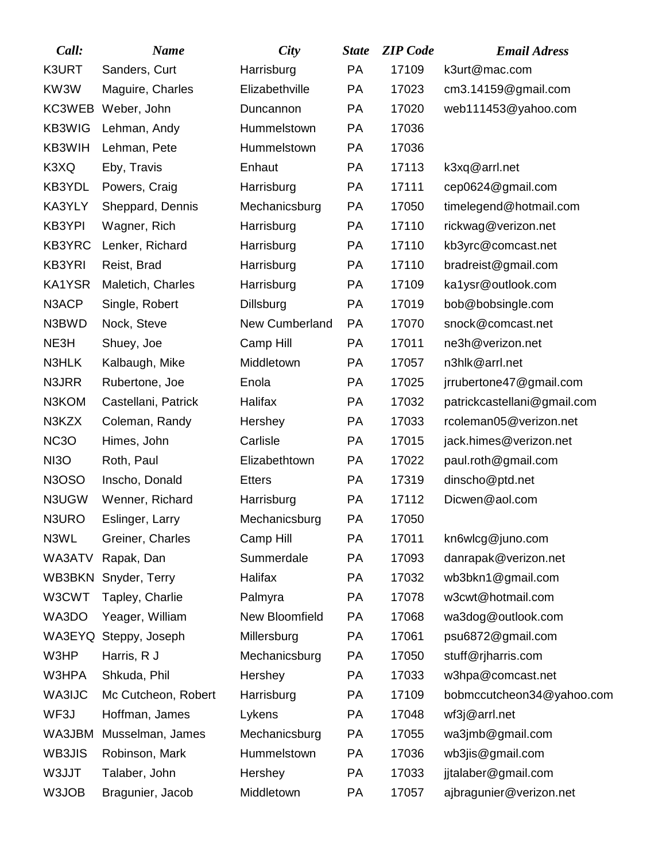| Call:             | <b>Name</b>         | City             | <b>State</b> | <b>ZIP</b> Code | <b>Email Adress</b>         |
|-------------------|---------------------|------------------|--------------|-----------------|-----------------------------|
| K3URT             | Sanders, Curt       | Harrisburg       | PA           | 17109           | k3urt@mac.com               |
| KW3W              | Maguire, Charles    | Elizabethville   | PA           | 17023           | cm3.14159@gmail.com         |
|                   | KC3WEB Weber, John  | Duncannon        | <b>PA</b>    | 17020           | web111453@yahoo.com         |
| KB3WIG            | Lehman, Andy        | Hummelstown      | PA           | 17036           |                             |
| KB3WIH            | Lehman, Pete        | Hummelstown      | PA           | 17036           |                             |
| K3XQ              | Eby, Travis         | Enhaut           | PA           | 17113           | k3xq@arrl.net               |
| KB3YDL            | Powers, Craig       | Harrisburg       | PA           | 17111           | cep0624@gmail.com           |
| KA3YLY            | Sheppard, Dennis    | Mechanicsburg    | PA           | 17050           | timelegend@hotmail.com      |
| KB3YPI            | Wagner, Rich        | Harrisburg       | <b>PA</b>    | 17110           | rickwag@verizon.net         |
| KB3YRC            | Lenker, Richard     | Harrisburg       | PA           | 17110           | kb3yrc@comcast.net          |
| KB3YRI            | Reist, Brad         | Harrisburg       | <b>PA</b>    | 17110           | bradreist@gmail.com         |
| KA1YSR            | Maletich, Charles   | Harrisburg       | PA           | 17109           | ka1ysr@outlook.com          |
| N3ACP             | Single, Robert      | <b>Dillsburg</b> | <b>PA</b>    | 17019           | bob@bobsingle.com           |
| N3BWD             | Nock, Steve         | New Cumberland   | <b>PA</b>    | 17070           | snock@comcast.net           |
| NE3H              | Shuey, Joe          | Camp Hill        | <b>PA</b>    | 17011           | ne3h@verizon.net            |
| N3HLK             | Kalbaugh, Mike      | Middletown       | PA           | 17057           | n3hlk@arrl.net              |
| N3JRR             | Rubertone, Joe      | Enola            | <b>PA</b>    | 17025           | jrrubertone47@gmail.com     |
| N3KOM             | Castellani, Patrick | Halifax          | <b>PA</b>    | 17032           | patrickcastellani@gmail.com |
| N3KZX             | Coleman, Randy      | Hershey          | <b>PA</b>    | 17033           | rcoleman05@verizon.net      |
| NC <sub>3</sub> O | Himes, John         | Carlisle         | <b>PA</b>    | 17015           | jack.himes@verizon.net      |
| NI <sub>3</sub> O | Roth, Paul          | Elizabethtown    | <b>PA</b>    | 17022           | paul.roth@gmail.com         |
| N3OSO             | Inscho, Donald      | <b>Etters</b>    | <b>PA</b>    | 17319           | dinscho@ptd.net             |
| N3UGW             | Wenner, Richard     | Harrisburg       | <b>PA</b>    | 17112           | Dicwen@aol.com              |
| N3URO             | Eslinger, Larry     | Mechanicsburg    | PA           | 17050           |                             |
| N3WL              | Greiner, Charles    | Camp Hill        | PA           | 17011           | kn6wlcg@juno.com            |
| WA3ATV            | Rapak, Dan          | Summerdale       | PA           | 17093           | danrapak@verizon.net        |
| WB3BKN            | Snyder, Terry       | Halifax          | PA           | 17032           | wb3bkn1@gmail.com           |
| W3CWT             | Tapley, Charlie     | Palmyra          | PA           | 17078           | w3cwt@hotmail.com           |
| WA3DO             | Yeager, William     | New Bloomfield   | PA           | 17068           | wa3dog@outlook.com          |
| WA3EYQ            | Steppy, Joseph      | Millersburg      | PA           | 17061           | psu6872@gmail.com           |
| W3HP              | Harris, R J         | Mechanicsburg    | PA           | 17050           | stuff@rjharris.com          |
| W3HPA             | Shkuda, Phil        | Hershey          | PA           | 17033           | w3hpa@comcast.net           |
| <b>WA3IJC</b>     | Mc Cutcheon, Robert | Harrisburg       | PA           | 17109           | bobmccutcheon34@yahoo.com   |
| WF3J              | Hoffman, James      | Lykens           | PA           | 17048           | wf3j@arrl.net               |
| WA3JBM            | Musselman, James    | Mechanicsburg    | PA           | 17055           | wa3jmb@gmail.com            |
| WB3JIS            | Robinson, Mark      | Hummelstown      | PA           | 17036           | wb3jis@gmail.com            |
| W3JJT             | Talaber, John       | Hershey          | <b>PA</b>    | 17033           | jjtalaber@gmail.com         |
| W3JOB             | Bragunier, Jacob    | Middletown       | PA           | 17057           | ajbragunier@verizon.net     |